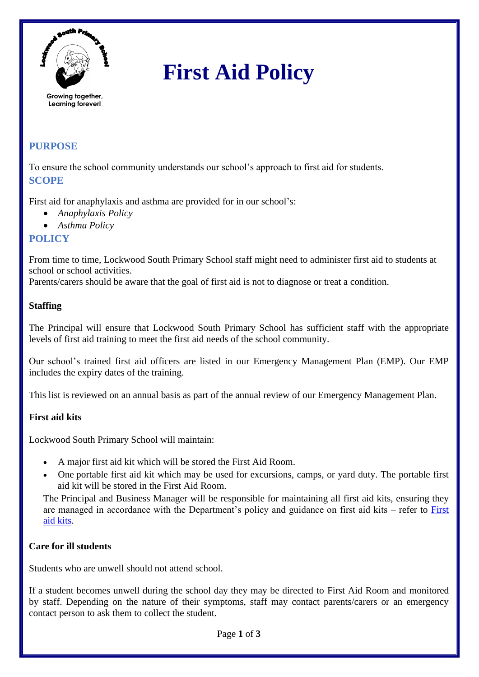

# **First Aid Policy**

# **PURPOSE**

To ensure the school community understands our school's approach to first aid for students. **SCOPE**

First aid for anaphylaxis and asthma are provided for in our school's:

- *Anaphylaxis Policy*
- *Asthma Policy*

## **POLICY**

From time to time, Lockwood South Primary School staff might need to administer first aid to students at school or school activities.

Parents/carers should be aware that the goal of first aid is not to diagnose or treat a condition.

## **Staffing**

The Principal will ensure that Lockwood South Primary School has sufficient staff with the appropriate levels of first aid training to meet the first aid needs of the school community.

Our school's trained first aid officers are listed in our Emergency Management Plan (EMP). Our EMP includes the expiry dates of the training.

This list is reviewed on an annual basis as part of the annual review of our Emergency Management Plan.

#### **First aid kits**

Lockwood South Primary School will maintain:

- A major first aid kit which will be stored the First Aid Room.
- One portable first aid kit which may be used for excursions, camps, or yard duty. The portable first aid kit will be stored in the First Aid Room.

The Principal and Business Manager will be responsible for maintaining all first aid kits, ensuring they are managed in accordance with the Department's policy and guidance on first aid kits – refer to  $First$ aid [kits.](https://www2.education.vic.gov.au/pal/first-aid-students-and-staff/guidance/first-aid-kits)

#### **Care for ill students**

Students who are unwell should not attend school.

If a student becomes unwell during the school day they may be directed to First Aid Room and monitored by staff. Depending on the nature of their symptoms, staff may contact parents/carers or an emergency contact person to ask them to collect the student.

Page **1** of **3**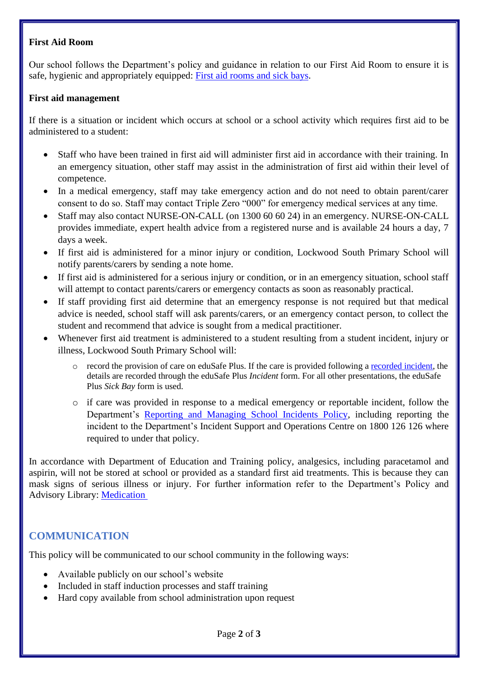#### **First Aid Room**

Our school follows the Department's policy and guidance in relation to our First Aid Room to ensure it is safe, hygienic and appropriately equipped: [First aid rooms and sick bays.](https://www2.education.vic.gov.au/pal/first-aid-students-and-staff/guidance/first-aid-rooms-and-sick-bays)

### **First aid management**

If there is a situation or incident which occurs at school or a school activity which requires first aid to be administered to a student:

- Staff who have been trained in first aid will administer first aid in accordance with their training. In an emergency situation, other staff may assist in the administration of first aid within their level of competence.
- In a medical emergency, staff may take emergency action and do not need to obtain parent/carer consent to do so. Staff may contact Triple Zero "000" for emergency medical services at any time.
- Staff may also contact NURSE-ON-CALL (on 1300 60 60 24) in an emergency. NURSE-ON-CALL provides immediate, expert health advice from a registered nurse and is available 24 hours a day, 7 days a week.
- If first aid is administered for a minor injury or condition, Lockwood South Primary School will notify parents/carers by sending a note home.
- If first aid is administered for a serious injury or condition, or in an emergency situation, school staff will attempt to contact parents/carers or emergency contacts as soon as reasonably practical.
- If staff providing first aid determine that an emergency response is not required but that medical advice is needed, school staff will ask parents/carers, or an emergency contact person, to collect the student and recommend that advice is sought from a medical practitioner.
- Whenever first aid treatment is administered to a student resulting from a student incident, injury or illness, Lockwood South Primary School will:
	- o record the provision of care on eduSafe Plus. If the care is provided following a [recorded incident,](https://www2.education.vic.gov.au/pal/reporting-and-managing-school-incidents-including-emergencies/policy) the details are recorded through the eduSafe Plus *Incident* form. For all other presentations, the eduSafe Plus *Sick Bay* form is used.
	- o if care was provided in response to a medical emergency or reportable incident, follow the Department's [Reporting and Managing School Incidents Policy,](https://www2.education.vic.gov.au/pal/reporting-and-managing-school-incidents-including-emergencies/policy) including reporting the incident to the Department's Incident Support and Operations Centre on 1800 126 126 where required to under that policy.

In accordance with Department of Education and Training policy, analgesics, including paracetamol and aspirin, will not be stored at school or provided as a standard first aid treatments. This is because they can mask signs of serious illness or injury. For further information refer to the Department's Policy and Advisory Library: [Medication](https://www2.education.vic.gov.au/pal/medication/policy)

# **COMMUNICATION**

This policy will be communicated to our school community in the following ways:

- Available publicly on our school's website
- Included in staff induction processes and staff training
- Hard copy available from school administration upon request